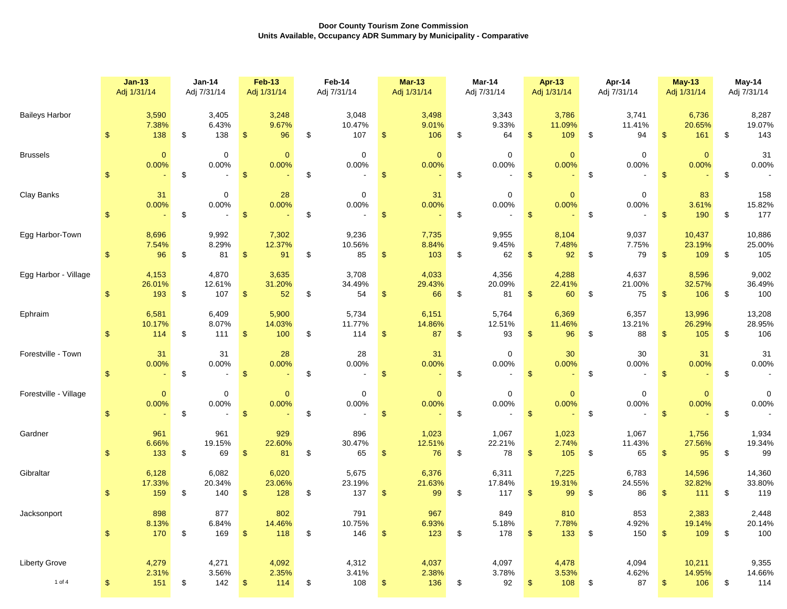|                       | $Jan-13$                               | <b>Jan-14</b>                                | <b>Feb-13</b>                           | Feb-14                     | $Mar-13$                                          | Mar-14                                       | <b>Apr-13</b>                           | Apr-14                                       | <b>May-13</b>                           | May-14                     |  |
|-----------------------|----------------------------------------|----------------------------------------------|-----------------------------------------|----------------------------|---------------------------------------------------|----------------------------------------------|-----------------------------------------|----------------------------------------------|-----------------------------------------|----------------------------|--|
|                       | Adj 1/31/14                            | Adj 7/31/14                                  | Adj 1/31/14                             | Adj 7/31/14                | Adj 1/31/14                                       | Adj 7/31/14                                  | Adj 1/31/14                             | Adj 7/31/14                                  | Adj 1/31/14                             | Adj 7/31/14                |  |
| <b>Baileys Harbor</b> | 3,590                                  | 3,405                                        | 3,248                                   | 3,048                      | 3,498                                             | 3,343                                        | 3,786                                   | 3,741                                        | 6,736                                   | 8,287                      |  |
|                       | 7.38%                                  | 6.43%                                        | 9.67%                                   | 10.47%                     | 9.01%                                             | 9.33%                                        | 11.09%                                  | 11.41%                                       | 20.65%                                  | 19.07%                     |  |
|                       | 138                                    | \$                                           | $\sqrt{2}$                              | \$                         | $\boldsymbol{\$}$                                 | \$                                           | $\mathbf{\$}$                           | \$                                           | $\mathbb{S}$                            | \$                         |  |
|                       | \$                                     | 138                                          | 96                                      | 107                        | 106                                               | 64                                           | 109                                     | 94                                           | 161                                     | 143                        |  |
| <b>Brussels</b>       | $\mathbf{0}$<br>0.00%<br>\$            | $\mathbf 0$<br>0.00%<br>\$<br>$\sim$         | $\mathbf{0}$<br>0.00%<br>$\mathfrak{s}$ | $\mathsf 0$<br>0.00%<br>\$ | $\overline{0}$<br>0.00%<br>$\mathfrak{s}$         | $\mathbf 0$<br>0.00%<br>\$                   | $\mathbf{0}$<br>0.00%<br>$\mathfrak{s}$ | $\mathbf 0$<br>0.00%<br>\$                   | $\mathbf{0}$<br>0.00%<br>$\mathfrak{s}$ | 31<br>0.00%<br>\$          |  |
| Clay Banks            | 31<br>0.00%<br>$\mathfrak{L}$          | $\mathbf 0$<br>0.00%<br>\$<br>$\blacksquare$ | 28<br>0.00%<br>$\mathfrak{s}$           | $\mathbf 0$<br>0.00%<br>\$ | 31<br>0.00%<br>$\mathfrak{s}$                     | $\mathbf 0$<br>0.00%<br>\$                   | $\mathbf{0}$<br>0.00%<br>\$             | $\mathbf 0$<br>0.00%<br>\$<br>$\blacksquare$ | 83<br>3.61%<br>190<br>$\mathfrak{F}$    | 158<br>15.82%<br>177<br>\$ |  |
| Egg Harbor-Town       | 8,696                                  | 9,992                                        | 7,302                                   | 9,236                      | 7,735                                             | 9,955                                        | 8,104                                   | 9,037                                        | 10,437                                  | 10,886                     |  |
|                       | 7.54%                                  | 8.29%                                        | 12.37%                                  | 10.56%                     | 8.84%                                             | 9.45%                                        | 7.48%                                   | 7.75%                                        | 23.19%                                  | 25.00%                     |  |
|                       | 96                                     | 81                                           | 91                                      | 85                         | 103                                               | 62                                           | 92                                      | 79                                           | 109                                     | 105                        |  |
|                       | $\frac{1}{2}$                          | \$                                           | $\sqrt[6]{\frac{1}{2}}$                 | \$                         | \$                                                | \$                                           | \$                                      | \$                                           | $\mathfrak{L}$                          | \$                         |  |
| Egg Harbor - Village  | 4,153                                  | 4,870                                        | 3,635                                   | 3,708                      | 4,033                                             | 4,356                                        | 4,288                                   | 4,637                                        | 8,596                                   | 9,002                      |  |
|                       | 26.01%                                 | 12.61%                                       | 31.20%                                  | 34.49%                     | 29.43%                                            | 20.09%                                       | 22.41%                                  | 21.00%                                       | 32.57%                                  | 36.49%                     |  |
|                       | \$                                     | \$                                           | $\sqrt{3}$                              | \$                         | 66                                                | \$                                           | 60                                      | 75                                           | 106                                     | \$                         |  |
|                       | 193                                    | 107                                          | 52                                      | 54                         | \$                                                | 81                                           | £.                                      | \$                                           | \$                                      | 100                        |  |
| Ephraim               | 6,581                                  | 6,409                                        | 5,900                                   | 5,734                      | 6,151                                             | 5,764                                        | 6,369                                   | 6,357                                        | 13,996                                  | 13,208                     |  |
|                       | 10.17%                                 | 8.07%                                        | 14.03%                                  | 11.77%                     | 14.86%                                            | 12.51%                                       | 11.46%                                  | 13.21%                                       | 26.29%                                  | 28.95%                     |  |
|                       | $\mathbf{s}$                           | \$                                           | $\mathfrak{S}$                          | \$                         | $\sqrt[6]{\frac{1}{2}}$                           | \$                                           | 96                                      | \$                                           | 105                                     | \$                         |  |
|                       | 114                                    | 111                                          | 100                                     | 114                        | 87                                                | 93                                           | <sup>\$</sup>                           | 88                                           | $\mathfrak{L}$                          | 106                        |  |
| Forestville - Town    | 31<br>0.00%<br>$\mathbf{s}$            | 31<br>0.00%<br>\$<br>$\blacksquare$          | 28<br>0.00%<br>$\sqrt[6]{3}$            | 28<br>0.00%<br>\$          | 31<br>0.00%<br>$\boldsymbol{\$}$                  | $\mathbf 0$<br>0.00%<br>\$                   | 30<br>0.00%<br>$\mathbf{\$}$            | 30<br>0.00%<br>\$                            | 31<br>0.00%<br>$\sqrt{2}$               | 31<br>0.00%<br>\$          |  |
| Forestville - Village | $\mathbf 0$<br>0.00%<br>$\mathfrak{S}$ | $\mathbf 0$<br>0.00%<br>\$<br>$\sim$         | $\mathbf{0}$<br>0.00%<br>$\sqrt[6]{3}$  | $\pmb{0}$<br>0.00%<br>\$   | $\mathbf 0$<br>0.00%<br>$\boldsymbol{\mathsf{s}}$ | $\mathbf 0$<br>0.00%<br>$\pmb{\mathfrak{P}}$ | $\mathbf{0}$<br>0.00%<br>$\sqrt[6]{3}$  | $\mathbf 0$<br>0.00%<br>\$                   | $\mathbf{0}$<br>0.00%<br>$\sqrt{2}$     | $\mathbf 0$<br>0.00%<br>\$ |  |
| Gardner               | 961                                    | 961                                          | 929                                     | 896                        | 1,023                                             | 1,067                                        | 1,023                                   | 1,067                                        | 1,756                                   | 1,934                      |  |
|                       | 6.66%                                  | 19.15%                                       | 22.60%                                  | 30.47%                     | 12.51%                                            | 22.21%                                       | 2.74%                                   | 11.43%                                       | 27.56%                                  | 19.34%                     |  |
|                       | 133                                    | \$                                           | $\mathfrak{s}$                          | \$                         | 76                                                | 78                                           | 105                                     | 65                                           | $\mathfrak{s}$                          | 99                         |  |
|                       | $\mathfrak{L}$                         | 69                                           | 81                                      | 65                         | $\sqrt[6]{3}$                                     | \$                                           | $\mathfrak{F}$                          | \$                                           | 95                                      | \$                         |  |
| Gibraltar             | 6,128                                  | 6,082                                        | 6,020                                   | 5,675                      | 6,376                                             | 6,311                                        | 7,225                                   | 6,783                                        | 14,596                                  | 14,360                     |  |
|                       | 17.33%                                 | 20.34%                                       | 23.06%                                  | 23.19%                     | 21.63%                                            | 17.84%                                       | 19.31%                                  | 24.55%                                       | 32.82%                                  | 33.80%                     |  |
|                       | $\mathfrak{L}$                         | \$                                           | $\sqrt{2}$                              | \$                         | \$                                                | \$                                           | $\mathbf{\$}$                           | \$                                           | 111                                     | \$                         |  |
|                       | 159                                    | 140                                          | 128                                     | 137                        | 99                                                | 117                                          | 99                                      | 86                                           | $\mathbb{S}$                            | 119                        |  |
| Jacksonport           | 898                                    | 877                                          | 802                                     | 791                        | 967                                               | 849                                          | 810                                     | 853                                          | 2,383                                   | 2,448                      |  |
|                       | 8.13%                                  | 6.84%                                        | 14.46%                                  | 10.75%                     | 6.93%                                             | 5.18%                                        | 7.78%                                   | 4.92%                                        | 19.14%                                  | 20.14%                     |  |
|                       | $\mathfrak{L}$                         | \$                                           | $\mathfrak{S}$                          | \$                         | $\mathfrak{S}$                                    | 178                                          | 133                                     | \$                                           | 109                                     | 100                        |  |
|                       | 170                                    | 169                                          | 118                                     | 146                        | 123                                               | \$                                           | $\mathfrak{L}$                          | 150                                          | $\mathfrak{F}$                          | \$                         |  |
| <b>Liberty Grove</b>  | 4,279                                  | 4,271                                        | 4,092                                   | 4,312                      | 4,037                                             | 4,097                                        | 4,478                                   | 4,094                                        | 10,211                                  | 9,355                      |  |
|                       | 2.31%                                  | 3.56%                                        | 2.35%                                   | 3.41%                      | 2.38%                                             | 3.78%                                        | 3.53%                                   | 4.62%                                        | 14.95%                                  | 14.66%                     |  |
| 1 of 4                | \$                                     | \$                                           | $\sqrt{2}$                              | \$                         | 136                                               | \$                                           | 108                                     | \$                                           | $\mathfrak{S}$                          | \$                         |  |
|                       | 151                                    | 142                                          | 114                                     | 108                        | \$                                                | 92                                           | \$                                      | 87                                           | 106                                     | 114                        |  |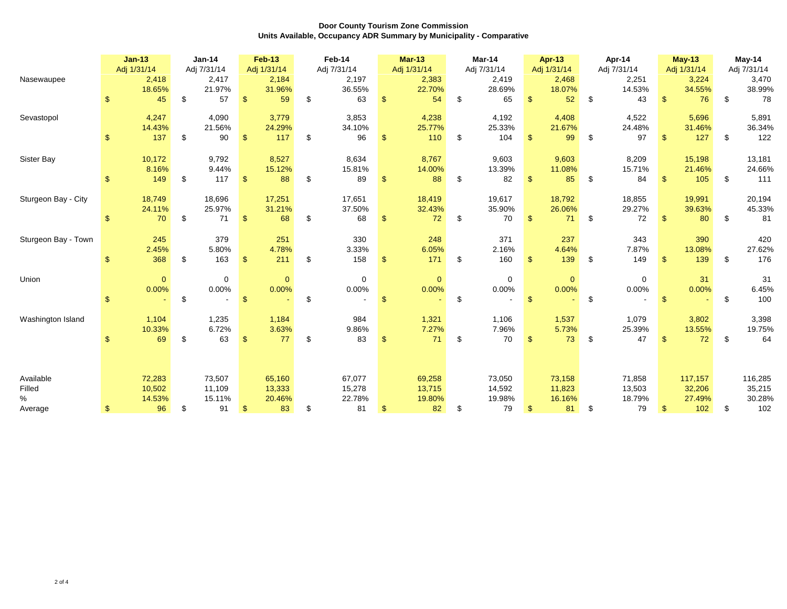|                     | $Jan-13$       |              |    |                      | Adj 1/31/14    |                      |     |                      |                |                      |     |                      |                |                      |      |                      |                |                      |     | <b>Jan-14</b>        |  | <b>Feb-13</b> |  | Feb-14 |  | <b>Mar-13</b> | Mar-14 |  |  | <b>Apr-13</b> |  | Apr-14 |  | <b>May-13</b> | May-14 |  |
|---------------------|----------------|--------------|----|----------------------|----------------|----------------------|-----|----------------------|----------------|----------------------|-----|----------------------|----------------|----------------------|------|----------------------|----------------|----------------------|-----|----------------------|--|---------------|--|--------|--|---------------|--------|--|--|---------------|--|--------|--|---------------|--------|--|
| Nasewaupee          |                | 2,418        |    | Adj 7/31/14<br>2,417 |                | Adj 1/31/14<br>2,184 |     | Adj 7/31/14<br>2,197 |                | Adj 1/31/14<br>2,383 |     | Adj 7/31/14<br>2,419 |                | Adj 1/31/14<br>2,468 |      | Adj 7/31/14<br>2,251 |                | Adj 1/31/14<br>3,224 |     | Adj 7/31/14<br>3,470 |  |               |  |        |  |               |        |  |  |               |  |        |  |               |        |  |
|                     |                | 18.65%       |    | 21.97%               |                | 31.96%               |     | 36.55%               |                | 22.70%               |     | 28.69%               |                | 18.07%               |      | 14.53%               |                | 34.55%               |     | 38.99%               |  |               |  |        |  |               |        |  |  |               |  |        |  |               |        |  |
|                     | \$             | 45           | \$ | 57                   | $\mathfrak{S}$ | 59                   | \$  | 63                   | $\mathbf{s}$   | 54                   | \$  | 65                   | $\mathfrak{L}$ | 52                   | \$   | 43                   | $\mathfrak{L}$ | 76                   | \$  | 78                   |  |               |  |        |  |               |        |  |  |               |  |        |  |               |        |  |
| Sevastopol          |                | 4,247        |    | 4,090                |                | 3,779                |     | 3,853                |                | 4,238                |     | 4,192                |                | 4,408                |      | 4,522                |                | 5,696                |     | 5,891                |  |               |  |        |  |               |        |  |  |               |  |        |  |               |        |  |
|                     |                | 14.43%       |    | 21.56%               |                | 24.29%               |     | 34.10%               |                | 25.77%               |     | 25.33%               |                | 21.67%               |      | 24.48%               |                | 31.46%               |     | 36.34%               |  |               |  |        |  |               |        |  |  |               |  |        |  |               |        |  |
|                     | \$             | 137          | \$ | 90                   | $\mathfrak{S}$ | 117                  | \$  | 96                   | \$             | 110                  | \$  | 104                  | <sup>\$</sup>  | 99                   | \$   | 97                   | \$             | 127                  | \$  | 122                  |  |               |  |        |  |               |        |  |  |               |  |        |  |               |        |  |
| Sister Bay          |                | 10,172       |    | 9,792                |                | 8,527                |     | 8,634                |                | 8,767                |     | 9,603                |                | 9,603                |      | 8,209                |                | 15,198               |     | 13,181               |  |               |  |        |  |               |        |  |  |               |  |        |  |               |        |  |
|                     |                | 8.16%        |    | 9.44%                |                | 15.12%               |     | 15.81%               |                | 14.00%               |     | 13.39%               |                | 11.08%               |      | 15.71%               |                | 21.46%               |     | 24.66%               |  |               |  |        |  |               |        |  |  |               |  |        |  |               |        |  |
|                     | \$             | 149          | \$ | 117                  | $\mathfrak{S}$ | 88                   | \$  | 89                   | <sup>\$</sup>  | 88                   | \$  | 82                   |                | 85                   | \$   | 84                   |                | 105                  | \$. | 111                  |  |               |  |        |  |               |        |  |  |               |  |        |  |               |        |  |
| Sturgeon Bay - City |                | 18,749       |    | 18,696               |                | 17,251               |     | 17,651               |                | 18,419               |     | 19,617               |                | 18,792               |      | 18,855               |                | 19,991               |     | 20,194               |  |               |  |        |  |               |        |  |  |               |  |        |  |               |        |  |
|                     |                | 24.11%       |    | 25.97%               |                | 31.21%               |     | 37.50%               |                | 32.43%               |     | 35.90%               |                | 26.06%               |      | 29.27%               |                | 39.63%               |     | 45.33%               |  |               |  |        |  |               |        |  |  |               |  |        |  |               |        |  |
|                     | \$             | 70           | \$ | 71                   | $\mathfrak{S}$ | 68                   | \$. | 68                   | <sup>\$</sup>  | 72                   | -\$ | 70                   | .S             | 71                   | -\$  | 72                   |                | 80                   | \$  | 81                   |  |               |  |        |  |               |        |  |  |               |  |        |  |               |        |  |
| Sturgeon Bay - Town |                | 245          |    | 379                  |                | 251                  |     | 330                  |                | 248                  |     | 371                  |                | 237                  |      | 343                  |                | 390                  |     | 420                  |  |               |  |        |  |               |        |  |  |               |  |        |  |               |        |  |
|                     |                | 2.45%        |    | 5.80%                |                | 4.78%                |     | 3.33%                |                | 6.05%                |     | 2.16%                |                | 4.64%                |      | 7.87%                |                | 13.08%               |     | 27.62%               |  |               |  |        |  |               |        |  |  |               |  |        |  |               |        |  |
|                     |                | 368          | \$ | 163                  | $\mathbf{\$}$  | 211                  | \$  | 158                  | $\mathbf{\$}$  | 171                  | \$  | 160                  | -S             | 139                  | - \$ | 149                  | $\mathbf{\$}$  | 139                  | \$  | 176                  |  |               |  |        |  |               |        |  |  |               |  |        |  |               |        |  |
| Union               |                | $\mathbf{0}$ |    | $\mathbf 0$          |                | $\mathbf{0}$         |     | $\mathbf 0$          |                | $\mathbf{0}$         |     | $\mathbf 0$          |                | $\mathbf{0}$         |      | $\mathbf 0$          |                | 31                   |     | 31                   |  |               |  |        |  |               |        |  |  |               |  |        |  |               |        |  |
|                     |                | 0.00%        |    | 0.00%                |                | 0.00%                |     | 0.00%                |                | 0.00%                |     | 0.00%                |                | 0.00%                |      | 0.00%                |                | 0.00%                |     | 6.45%                |  |               |  |        |  |               |        |  |  |               |  |        |  |               |        |  |
|                     | $\mathfrak{L}$ |              | \$ |                      | $\mathbf{\$}$  |                      | \$  |                      | $\mathfrak{s}$ |                      | \$  |                      | $\mathbf{\$}$  |                      | \$   |                      | $\mathfrak{S}$ |                      | \$  | 100                  |  |               |  |        |  |               |        |  |  |               |  |        |  |               |        |  |
| Washington Island   |                | 1,104        |    | 1,235                |                | 1,184                |     | 984                  |                | 1,321                |     | 1,106                |                | 1,537                |      | 1,079                |                | 3,802                |     | 3,398                |  |               |  |        |  |               |        |  |  |               |  |        |  |               |        |  |
|                     |                | 10.33%       |    | 6.72%                |                | 3.63%                |     | 9.86%                |                | 7.27%                |     | 7.96%                |                | 5.73%                |      | 25.39%               |                | 13.55%               |     | 19.75%               |  |               |  |        |  |               |        |  |  |               |  |        |  |               |        |  |
|                     | \$             | 69           | \$ | 63                   | $\mathfrak{S}$ | 77                   | \$  | 83                   | <sup>\$</sup>  | 71                   | \$  | 70                   | -S             | 73                   | -\$  | 47                   | \$.            | 72                   | \$  | 64                   |  |               |  |        |  |               |        |  |  |               |  |        |  |               |        |  |
|                     |                |              |    |                      |                |                      |     |                      |                |                      |     |                      |                |                      |      |                      |                |                      |     |                      |  |               |  |        |  |               |        |  |  |               |  |        |  |               |        |  |
| Available           |                | 72,283       |    | 73,507               |                | 65,160               |     | 67,077               |                | 69,258               |     | 73,050               |                | 73,158               |      | 71,858               |                | 117,157              |     | 116,285              |  |               |  |        |  |               |        |  |  |               |  |        |  |               |        |  |
| Filled              |                | 10,502       |    | 11,109               |                | 13,333               |     | 15,278               |                | 13,715               |     | 14,592               |                | 11,823               |      | 13,503               |                | 32,206               |     | 35,215               |  |               |  |        |  |               |        |  |  |               |  |        |  |               |        |  |
| $\%$                |                | 14.53%       |    | 15.11%               |                | 20.46%               |     | 22.78%               |                | 19.80%               |     | 19.98%               |                | 16.16%               |      | 18.79%               |                | 27.49%               |     | 30.28%               |  |               |  |        |  |               |        |  |  |               |  |        |  |               |        |  |
| Average             | \$.            | 96           | \$ | 91                   | $\mathfrak{F}$ | 83                   | \$. | 81                   | <sup>\$</sup>  | 82                   | \$. | 79                   | £.             | 81                   | \$   | 79                   | \$.            | 102                  | \$  | 102                  |  |               |  |        |  |               |        |  |  |               |  |        |  |               |        |  |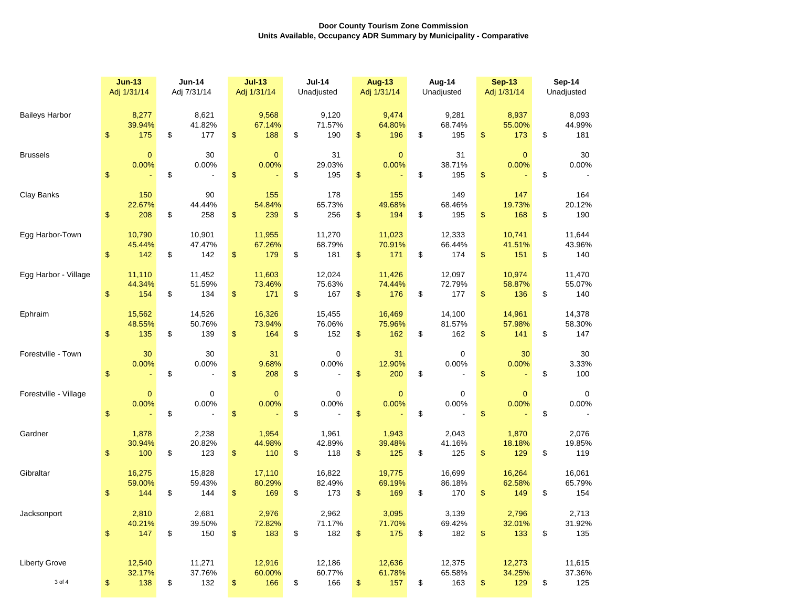|                                | <b>Jun-13</b><br>Adj 1/31/14 |                         | <b>Jun-14</b><br>Adj 7/31/14 |                           | $Jul-13$<br>Adj 1/31/14       | <b>Jul-14</b><br>Unadjusted        |    | <b>Aug-13</b><br>Adj 1/31/14 | Aug-14<br>Unadjusted |                              |      | <b>Sep-13</b><br>Adj 1/31/14 | Sep-14<br>Unadjusted |                         |  |
|--------------------------------|------------------------------|-------------------------|------------------------------|---------------------------|-------------------------------|------------------------------------|----|------------------------------|----------------------|------------------------------|------|------------------------------|----------------------|-------------------------|--|
| <b>Baileys Harbor</b>          | $\sqrt[6]{\frac{1}{2}}$      | 8,277<br>39.94%<br>175  | \$                           | 8,621<br>41.82%<br>177    | \$<br>9,568<br>67.14%<br>188  | \$<br>9,120<br>71.57%<br>190       | \$ | 9,474<br>64.80%<br>196       | \$                   | 9,281<br>68.74%<br>195       | \$   | 8,937<br>55.00%<br>173       | \$                   | 8,093<br>44.99%<br>181  |  |
| <b>Brussels</b>                | \$                           | $\mathbf{0}$<br>0.00%   | \$                           | 30<br>0.00%               | \$<br>$\mathbf{0}$<br>0.00%   | \$<br>31<br>29.03%<br>195          | \$ | $\mathbf{0}$<br>0.00%        | \$                   | 31<br>38.71%<br>195          | \$   | $\mathbf{0}$<br>0.00%        | \$                   | 30<br>0.00%             |  |
| Clay Banks                     | $\frac{1}{2}$                | 150<br>22.67%<br>208    | \$                           | 90<br>44.44%<br>258       | \$<br>155<br>54.84%<br>239    | \$<br>178<br>65.73%<br>256         | \$ | 155<br>49.68%<br>194         | \$                   | 149<br>68.46%<br>195         | \$   | 147<br>19.73%<br>168         | \$                   | 164<br>20.12%<br>190    |  |
| Egg Harbor-Town                | \$                           | 10,790<br>45.44%<br>142 | \$                           | 10,901<br>47.47%<br>142   | \$<br>11,955<br>67.26%<br>179 | \$<br>11,270<br>68.79%<br>181      | \$ | 11,023<br>70.91%<br>171      | \$                   | 12,333<br>66.44%<br>174      | $\,$ | 10,741<br>41.51%<br>151      | \$                   | 11,644<br>43.96%<br>140 |  |
| Egg Harbor - Village           | $\sqrt[6]{\frac{1}{2}}$      | 11,110<br>44.34%<br>154 | \$                           | 11,452<br>51.59%<br>134   | \$<br>11,603<br>73.46%<br>171 | \$<br>12,024<br>75.63%<br>167      | \$ | 11,426<br>74.44%<br>176      | \$                   | 12,097<br>72.79%<br>177      | \$   | 10,974<br>58.87%<br>136      | \$                   | 11,470<br>55.07%<br>140 |  |
| Ephraim                        | \$                           | 15,562<br>48.55%<br>135 | \$                           | 14,526<br>50.76%<br>139   | \$<br>16,326<br>73.94%<br>164 | \$<br>15,455<br>76.06%<br>152      | \$ | 16,469<br>75.96%<br>162      | \$                   | 14,100<br>81.57%<br>162      | \$   | 14,961<br>57.98%<br>141      | \$                   | 14,378<br>58.30%<br>147 |  |
| Forestville - Town             | \$                           | 30<br>0.00%             | \$                           | 30<br>0.00%<br>÷,         | \$<br>31<br>9.68%<br>208      | \$<br>$\mathbf 0$<br>0.00%<br>÷,   | \$ | 31<br>12.90%<br>200          | \$                   | 0<br>0.00%<br>$\overline{a}$ | \$   | 30<br>0.00%                  | \$                   | 30<br>3.33%<br>100      |  |
| Forestville - Village          | $\boldsymbol{\$}$            | $\mathbf{0}$<br>0.00%   | \$                           | $\boldsymbol{0}$<br>0.00% | \$<br>$\mathbf{0}$<br>0.00%   | \$<br>0<br>0.00%<br>$\overline{a}$ | \$ | $\mathbf{0}$<br>0.00%        | \$                   | 0<br>0.00%                   | \$   | $\mathbf{0}$<br>0.00%        | \$                   | 0<br>0.00%              |  |
| Gardner                        | \$                           | 1,878<br>30.94%<br>100  | \$                           | 2,238<br>20.82%<br>123    | \$<br>1,954<br>44.98%<br>110  | \$<br>1,961<br>42.89%<br>118       | \$ | 1,943<br>39.48%<br>125       | \$                   | 2,043<br>41.16%<br>125       | \$   | 1,870<br>18.18%<br>129       | \$                   | 2,076<br>19.85%<br>119  |  |
| Gibraltar                      | \$                           | 16,275<br>59.00%<br>144 | \$                           | 15,828<br>59.43%<br>144   | \$<br>17,110<br>80.29%<br>169 | \$<br>16,822<br>82.49%<br>173      | \$ | 19,775<br>69.19%<br>169      | \$                   | 16,699<br>86.18%<br>170      | \$   | 16,264<br>62.58%<br>149      | \$                   | 16,061<br>65.79%<br>154 |  |
| Jacksonport                    | $\mathfrak{S}$               | 2,810<br>40.21%<br>147  | \$                           | 2,681<br>39.50%<br>150    | \$<br>2,976<br>72.82%<br>183  | \$<br>2,962<br>71.17%<br>182       | \$ | 3,095<br>71.70%<br>175       | \$                   | 3,139<br>69.42%<br>182       | \$   | 2,796<br>32.01%<br>133       | \$                   | 2,713<br>31.92%<br>135  |  |
| <b>Liberty Grove</b><br>3 of 4 | \$                           | 12,540<br>32.17%<br>138 | \$                           | 11,271<br>37.76%<br>132   | \$<br>12,916<br>60.00%<br>166 | \$<br>12,186<br>60.77%<br>166      | \$ | 12,636<br>61.78%<br>157      | \$                   | 12,375<br>65.58%<br>163      | \$   | 12,273<br>34.25%<br>129      | \$                   | 11,615<br>37.36%<br>125 |  |